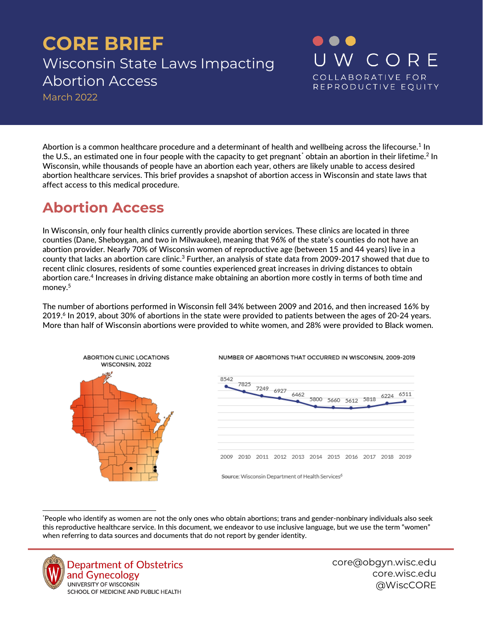# **CORE BRIEF** Wisconsin State Laws Impacting Abortion Access

March 2022

Abortion is a common healthcare procedure and a determinant of health and wellbeing across the lifecourse. $^1$  In the U.S., an estimated one in four people with the capacity to get pregnant[\\*](#page-0-0) obtain an abortion in their lifetime.<sup>2</sup> In Wisconsin, while thousands of people have an abortion each year, others are likely unable to access desired abortion healthcare services. This brief provides a snapshot of abortion access in Wisconsin and state laws that affect access to this medical procedure.

# **Abortion Access**

In Wisconsin, only four health clinics currently provide abortion services. These clinics are located in three counties (Dane, Sheboygan, and two in Milwaukee), meaning that 96% of the state's counties do not have an abortion provider. Nearly 70% of Wisconsin women of reproductive age (between 15 and 44 years) live in a county that lacks an abortion care clinic.<sup>3</sup> Further, an analysis of state data from 2009-2017 showed that due to recent clinic closures, residents of some counties experienced great increases in driving distances to obtain abortion care. <sup>4</sup> Increases in driving distance make obtaining an abortion more costly in terms of both time and money. 5

The number of abortions performed in Wisconsin fell 34% between 2009 and 2016, and then increased 16% by 2019.6 In 2019, about 30% of abortions in the state were provided to patients between the ages of 20-24 years. More than half of Wisconsin abortions were provided to white women, and 28% were provided to Black women.



<span id="page-0-0"></span>\* People who identify as women are not the only ones who obtain abortions; trans and gender-nonbinary individuals also seek this reproductive healthcare service. In this document, we endeavor to use inclusive language, but we use the term "women" when referring to data sources and documents that do not report by gender identity.



**Department of Obstetrics** and Gynecology UNIVERSITY OF WISCONSIN SCHOOL OF MEDICINE AND PUBLIC HEALTH

core@obgyn.wisc.edu core.wisc.edu @WiscCORE

W CORE

COLLABORATIVE FOR REPRODUCTIVE EQUITY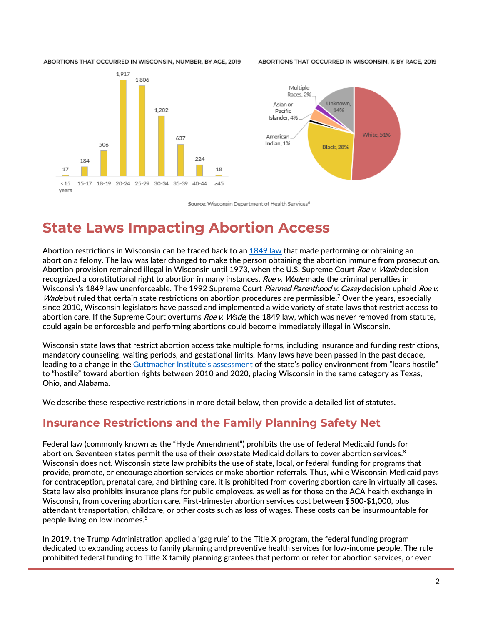ABORTIONS THAT OCCURRED IN WISCONSIN, NUMBER, BY AGE, 2019

ARORTIONS THAT OCCURRED IN WISCONSIN, % BY RACE, 2019





Source: Wisconsin Department of Health Services<sup>6</sup>

# **State Laws Impacting Abortion Access**

Abortion restrictions in Wisconsin can be traced back to an [1849 law](https://docs.legis.wisconsin.gov/statutes/statutes/940/i/04) that made performing or obtaining an abortion a felony. The law was later changed to make the person obtaining the abortion immune from prosecution. Abortion provision remained illegal in Wisconsin until 1973, when the U.S. Supreme Court Roe v. Wade decision recognized a constitutional right to abortion in many instances. Roe v. Wade made the criminal penalties in Wisconsin's 1849 law unenforceable. The 1992 Supreme Court Planned Parenthood v. Casey decision upheld Roe v. Wade but ruled that certain state restrictions on abortion procedures are permissible.<sup>7</sup> Over the years, especially since 2010, Wisconsin legislators have passed and implemented a wide variety of state laws that restrict access to abortion care. If the Supreme Court overturns Roe v. Wade, the 1849 law, which was never removed from statute, could again be enforceable and performing abortions could become immediately illegal in Wisconsin.

Wisconsin state laws that restrict abortion access take multiple forms, including insurance and funding restrictions, mandatory counseling, waiting periods, and gestational limits. Many laws have been passed in the past decade, leading to a change in the [Guttmacher Institute's assessment](https://www.guttmacher.org/article/2019/08/state-abortion-policy-landscape-hostile-supportive) of the state's policy environment from "leans hostile" to "hostile" toward abortion rights between 2010 and 2020, placing Wisconsin in the same category as Texas, Ohio, and Alabama.

We describe these respective restrictions in more detail below, then provide a detailed list of statutes.

#### **Insurance Restrictions and the Family Planning Safety Net**

Federal law (commonly known as the "Hyde Amendment") prohibits the use of federal Medicaid funds for abortion. Seventeen states permit the use of their *own* state Medicaid dollars to cover abortion services.<sup>8</sup> Wisconsin does not. Wisconsin state law prohibits the use of state, local, or federal funding for programs that provide, promote, or encourage abortion services or make abortion referrals. Thus, while Wisconsin Medicaid pays for contraception, prenatal care, and birthing care, it is prohibited from covering abortion care in virtually all cases. State law also prohibits insurance plans for public employees, as well as for those on the ACA health exchange in Wisconsin, from covering abortion care. First-trimester abortion services cost between \$500-\$1,000, plus attendant transportation, childcare, or other costs such as loss of wages. These costs can be insurmountable for people living on low incomes. 5

In 2019, the Trump Administration applied a 'gag rule' to the Title X program, the federal funding program dedicated to expanding access to family planning and preventive health services for low-income people. The rule prohibited federal funding to Title X family planning grantees that perform or refer for abortion services, or even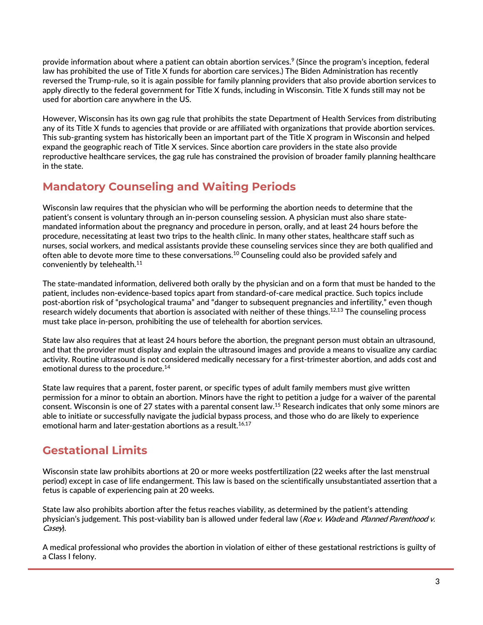provide information about where a patient can obtain abortion services.<sup>9</sup> (Since the program's inception, federal law has prohibited the use of Title X funds for abortion care services.) The Biden Administration has recently reversed the Trump-rule, so it is again possible for family planning providers that also provide abortion services to apply directly to the federal government for Title X funds, including in Wisconsin. Title X funds still may not be used for abortion care anywhere in the US.

However, Wisconsin has its own gag rule that prohibits the state Department of Health Services from distributing any of its Title X funds to agencies that provide or are affiliated with organizations that provide abortion services. This sub-granting system has historically been an important part of the Title X program in Wisconsin and helped expand the geographic reach of Title X services. Since abortion care providers in the state also provide reproductive healthcare services, the gag rule has constrained the provision of broader family planning healthcare in the state.

### **Mandatory Counseling and Waiting Periods**

Wisconsin law requires that the physician who will be performing the abortion needs to determine that the patient's consent is voluntary through an in-person counseling session. A physician must also share statemandated information about the pregnancy and procedure in person, orally, and at least 24 hours before the procedure, necessitating at least two trips to the health clinic. In many other states, healthcare staff such as nurses, social workers, and medical assistants provide these counseling services since they are both qualified and often able to devote more time to these conversations. $^{\rm 10}$  Counseling could also be provided safely and conveniently by telehealth. 11

The state-mandated information, delivered both orally by the physician and on a form that must be handed to the patient, includes non-evidence-based topics apart from standard-of-care medical practice. Such topics include post-abortion risk of "psychological trauma" and "danger to subsequent pregnancies and infertility," even though research widely documents that abortion is associated with neither of these things.<sup>12,13</sup> The counseling process must take place in-person, prohibiting the use of telehealth for abortion services.

State law also requires that at least 24 hours before the abortion, the pregnant person must obtain an ultrasound, and that the provider must display and explain the ultrasound images and provide a means to visualize any cardiac activity. Routine ultrasound is not considered medically necessary for a first-trimester abortion, and adds cost and emotional duress to the procedure. 14

State law requires that a parent, foster parent, or specific types of adult family members must give written permission for a minor to obtain an abortion. Minors have the right to petition a judge for a waiver of the parental consent. Wisconsin is one of 27 states with a parental consent law.<sup>15</sup> Research indicates that only some minors are able to initiate or successfully navigate the judicial bypass process, and those who do are likely to experience emotional harm and later-gestation abortions as a result. 16,17

### **Gestational Limits**

Wisconsin state law prohibits abortions at 20 or more weeks postfertilization (22 weeks after the last menstrual period) except in case of life endangerment. This law is based on the scientifically unsubstantiated assertion that a fetus is capable of experiencing pain at 20 weeks.

State law also prohibits abortion after the fetus reaches viability, as determined by the patient's attending physician's judgement. This post-viability ban is allowed under federal law (Roe v. Wade and Planned Parenthood v. Casey).

A medical professional who provides the abortion in violation of either of these gestational restrictions is guilty of a Class I felony.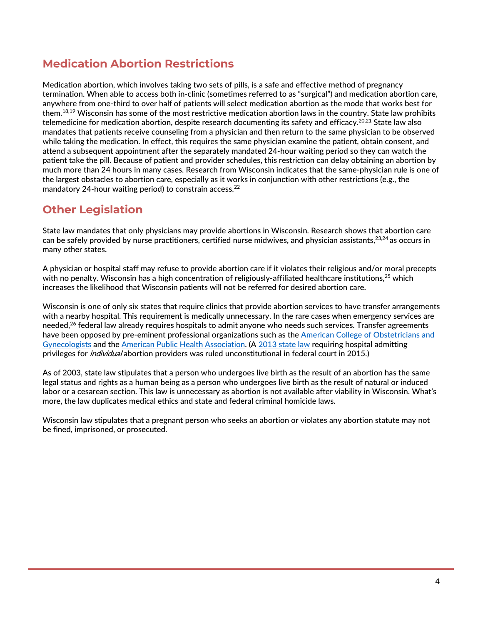#### **Medication Abortion Restrictions**

Medication abortion, which involves taking two sets of pills, is a safe and effective method of pregnancy termination. When able to access both in-clinic (sometimes referred to as "surgical") and medication abortion care, anywhere from one-third to over half of patients will select medication abortion as the mode that works best for them.<sup>18,19</sup> Wisconsin has some of the most restrictive medication abortion laws in the country. State law prohibits telemedicine for medication abortion, despite research documenting its safety and efficacy.<sup>20,21</sup> State law also mandates that patients receive counseling from a physician and then return to the same physician to be observed while taking the medication. In effect, this requires the same physician examine the patient, obtain consent, and attend a subsequent appointment after the separately mandated 24-hour waiting period so they can watch the patient take the pill. Because of patient and provider schedules, this restriction can delay obtaining an abortion by much more than 24 hours in many cases. Research from Wisconsin indicates that the same-physician rule is one of the largest obstacles to abortion care, especially as it works in conjunction with other restrictions (e.g., the mandatory 24-hour waiting period) to constrain access. 22

#### **Other Legislation**

State law mandates that only physicians may provide abortions in Wisconsin. Research shows that abortion care can be safely provided by nurse practitioners, certified nurse midwives, and physician assistants, $23,24$  as occurs in many other states.

A physician or hospital staff may refuse to provide abortion care if it violates their religious and/or moral precepts with no penalty. Wisconsin has a high concentration of religiously-affiliated healthcare institutions,<sup>25</sup> which increases the likelihood that Wisconsin patients will not be referred for desired abortion care.

Wisconsin is one of only six states that require clinics that provide abortion services to have transfer arrangements with a nearby hospital. This requirement is medically unnecessary. In the rare cases when emergency services are needed,<sup>26</sup> federal law already requires hospitals to admit anyone who needs such services. Transfer agreements have been opposed by pre-eminent professional organizations such as the [American College of Obstetricians and](https://pubmed.ncbi.nlm.nih.gov/25437742/)  [Gynecologists](https://pubmed.ncbi.nlm.nih.gov/25437742/) and the [American Public Health Association.](https://www.apha.org/policies-and-advocacy/public-health-policy-statements/policy-database/2015/12/14/11/04/opposition-to-requirements-for-hospital-admitting-privileges-for-abortion-providers) ([A 2013 state law](https://docs.legis.wisconsin.gov/2013/related/acts/37) requiring hospital admitting privileges for *individual* abortion providers was ruled unconstitutional in federal court in 2015.)

As of 2003, state law stipulates that a person who undergoes live birth as the result of an abortion has the same legal status and rights as a human being as a person who undergoes live birth as the result of natural or induced labor or a cesarean section. This law is unnecessary as abortion is not available after viability in Wisconsin. What's more, the law duplicates medical ethics and state and federal criminal homicide laws.

Wisconsin law stipulates that a pregnant person who seeks an abortion or violates any abortion statute may not be fined, imprisoned, or prosecuted.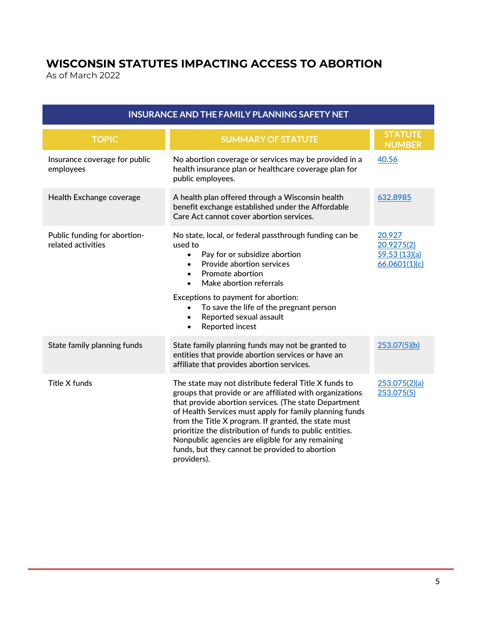## **WISCONSIN STATUTES IMPACTING ACCESS TO ABORTION**

As of March 2022

| <b>INSURANCE AND THE FAMILY PLANNING SAFETY NET</b> |                                                                                                                                                                                                                                                                                                                                                                                                                                                                                 |                                                       |  |
|-----------------------------------------------------|---------------------------------------------------------------------------------------------------------------------------------------------------------------------------------------------------------------------------------------------------------------------------------------------------------------------------------------------------------------------------------------------------------------------------------------------------------------------------------|-------------------------------------------------------|--|
| <b>TOPIC</b>                                        | <b>SUMMARY OF STATUTE</b>                                                                                                                                                                                                                                                                                                                                                                                                                                                       | <b>STATUTE</b><br><b>NUMBER</b>                       |  |
| Insurance coverage for public<br>employees          | No abortion coverage or services may be provided in a<br>health insurance plan or healthcare coverage plan for<br>public employees.                                                                                                                                                                                                                                                                                                                                             | 40.56                                                 |  |
| Health Exchange coverage                            | A health plan offered through a Wisconsin health<br>benefit exchange established under the Affordable<br>Care Act cannot cover abortion services.                                                                                                                                                                                                                                                                                                                               | 632.8985                                              |  |
| Public funding for abortion-<br>related activities  | No state, local, or federal passthrough funding can be<br>used to<br>Pay for or subsidize abortion<br>$\bullet$<br>Provide abortion services<br>Promote abortion<br>$\bullet$<br>Make abortion referrals<br>Exceptions to payment for abortion:<br>To save the life of the pregnant person<br>Reported sexual assault<br>$\bullet$<br>Reported incest<br>$\bullet$                                                                                                              | 20.927<br>20.9275(2)<br>59.53(13)(a)<br>66.0601(1)(c) |  |
| State family planning funds                         | State family planning funds may not be granted to<br>entities that provide abortion services or have an<br>affiliate that provides abortion services.                                                                                                                                                                                                                                                                                                                           | 253.07(5)(b)                                          |  |
| Title X funds                                       | The state may not distribute federal Title X funds to<br>groups that provide or are affiliated with organizations<br>that provide abortion services. (The state Department<br>of Health Services must apply for family planning funds<br>from the Title X program. If granted, the state must<br>prioritize the distribution of funds to public entities.<br>Nonpublic agencies are eligible for any remaining<br>funds, but they cannot be provided to abortion<br>providers). | 253.075(2)(a)<br>253.075(5)                           |  |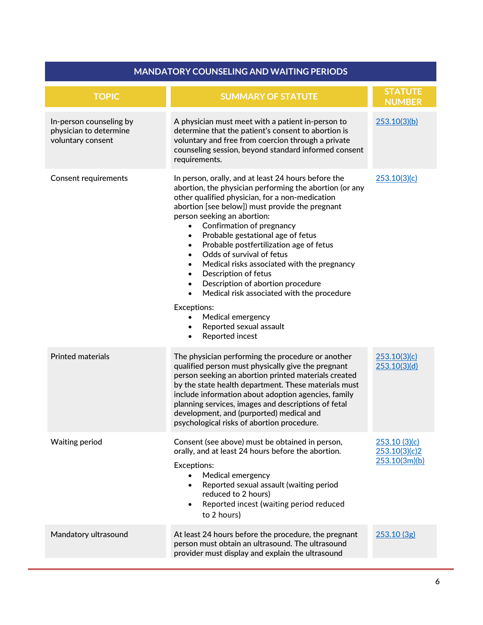#### **MANDATORY COUNSELING AND WAITING PERIODS**

| <b>TOPIC</b>                                                           | <b>SUMMARY OF STATUTE</b>                                                                                                                                                                                                                                                                                                                                                                                                                                                                                                                                                                                                                                                                                                                                                                | <b>STATUTE</b><br><b>NUMBER</b>                |
|------------------------------------------------------------------------|------------------------------------------------------------------------------------------------------------------------------------------------------------------------------------------------------------------------------------------------------------------------------------------------------------------------------------------------------------------------------------------------------------------------------------------------------------------------------------------------------------------------------------------------------------------------------------------------------------------------------------------------------------------------------------------------------------------------------------------------------------------------------------------|------------------------------------------------|
| In-person counseling by<br>physician to determine<br>voluntary consent | A physician must meet with a patient in-person to<br>determine that the patient's consent to abortion is<br>voluntary and free from coercion through a private<br>counseling session, beyond standard informed consent<br>requirements.                                                                                                                                                                                                                                                                                                                                                                                                                                                                                                                                                  | 253.10(3)(b)                                   |
| <b>Consent requirements</b>                                            | In person, orally, and at least 24 hours before the<br>abortion, the physician performing the abortion (or any<br>other qualified physician, for a non-medication<br>abortion [see below]) must provide the pregnant<br>person seeking an abortion:<br>Confirmation of pregnancy<br>$\bullet$<br>Probable gestational age of fetus<br>$\bullet$<br>Probable postfertilization age of fetus<br>$\bullet$<br>Odds of survival of fetus<br>$\bullet$<br>Medical risks associated with the pregnancy<br>$\bullet$<br>Description of fetus<br>$\bullet$<br>Description of abortion procedure<br>$\bullet$<br>Medical risk associated with the procedure<br>$\bullet$<br>Exceptions:<br>Medical emergency<br>$\bullet$<br>Reported sexual assault<br>$\bullet$<br>Reported incest<br>$\bullet$ | 253.10(3)(c)                                   |
| <b>Printed materials</b>                                               | The physician performing the procedure or another<br>qualified person must physically give the pregnant<br>person seeking an abortion printed materials created<br>by the state health department. These materials must<br>include information about adoption agencies, family<br>planning services, images and descriptions of fetal<br>development, and (purported) medical and<br>psychological risks of abortion procedure.                                                                                                                                                                                                                                                                                                                                                          | 253.10(3)(c)<br>253.10(3)(d)                   |
| <b>Waiting period</b>                                                  | Consent (see above) must be obtained in person,<br>orally, and at least 24 hours before the abortion.<br>Exceptions:<br>Medical emergency<br>Reported sexual assault (waiting period<br>$\bullet$<br>reduced to 2 hours)<br>Reported incest (waiting period reduced<br>$\bullet$<br>to 2 hours)                                                                                                                                                                                                                                                                                                                                                                                                                                                                                          | 253.10(3)(c)<br>253.10(3)(c)2<br>253.10(3m)(b) |
| Mandatory ultrasound                                                   | At least 24 hours before the procedure, the pregnant<br>person must obtain an ultrasound. The ultrasound<br>provider must display and explain the ultrasound                                                                                                                                                                                                                                                                                                                                                                                                                                                                                                                                                                                                                             | 253.10 (3g)                                    |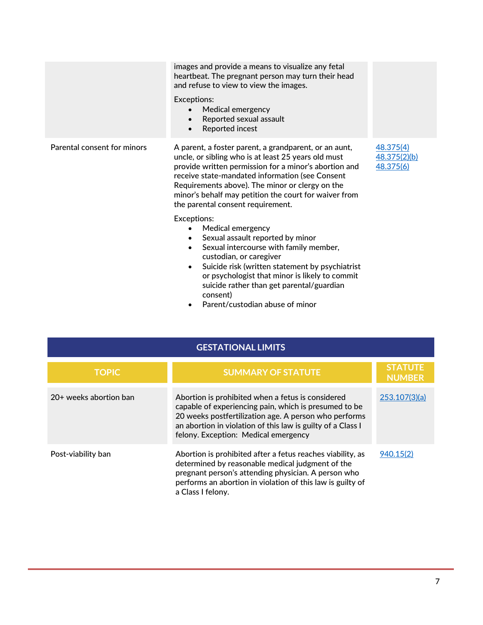|                             | images and provide a means to visualize any fetal<br>heartbeat. The pregnant person may turn their head<br>and refuse to view to view the images.<br>Exceptions:<br>Medical emergency<br>Reported sexual assault<br>$\bullet$<br>Reported incest<br>$\bullet$                                                                                                                     |                                        |
|-----------------------------|-----------------------------------------------------------------------------------------------------------------------------------------------------------------------------------------------------------------------------------------------------------------------------------------------------------------------------------------------------------------------------------|----------------------------------------|
| Parental consent for minors | A parent, a foster parent, a grandparent, or an aunt,<br>uncle, or sibling who is at least 25 years old must<br>provide written permission for a minor's abortion and<br>receive state-mandated information (see Consent<br>Requirements above). The minor or clergy on the<br>minor's behalf may petition the court for waiver from<br>the parental consent requirement.         | 48.375(4)<br>48.375(2)(b)<br>48.375(6) |
|                             | Exceptions:<br>Medical emergency<br>Sexual assault reported by minor<br>$\bullet$<br>Sexual intercourse with family member,<br>$\bullet$<br>custodian, or caregiver<br>Suicide risk (written statement by psychiatrist<br>$\bullet$<br>or psychologist that minor is likely to commit<br>suicide rather than get parental/guardian<br>consent)<br>Parent/custodian abuse of minor |                                        |

| <b>GESTATIONAL LIMITS</b> |                                                                                                                                                                                                                                                                            |                                 |
|---------------------------|----------------------------------------------------------------------------------------------------------------------------------------------------------------------------------------------------------------------------------------------------------------------------|---------------------------------|
| <b>TOPIC</b>              | <b>SUMMARY OF STATUTE</b>                                                                                                                                                                                                                                                  | <b>STATUTE</b><br><b>NUMBER</b> |
| 20+ weeks abortion ban    | Abortion is prohibited when a fetus is considered<br>capable of experiencing pain, which is presumed to be<br>20 weeks postfertilization age. A person who performs<br>an abortion in violation of this law is guilty of a Class I<br>felony. Exception: Medical emergency | 253.107(3)(a)                   |
| Post-viability ban        | Abortion is prohibited after a fetus reaches viability, as<br>determined by reasonable medical judgment of the<br>pregnant person's attending physician. A person who<br>performs an abortion in violation of this law is guilty of<br>a Class I felony.                   | 940.15(2)                       |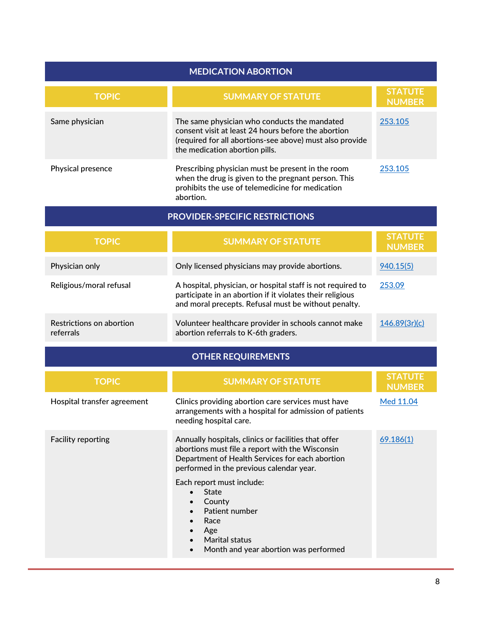| <b>MEDICATION ABORTION</b>            |                                                                                                                                                                                                                                                                                                                                                                                                                                                |                                 |  |
|---------------------------------------|------------------------------------------------------------------------------------------------------------------------------------------------------------------------------------------------------------------------------------------------------------------------------------------------------------------------------------------------------------------------------------------------------------------------------------------------|---------------------------------|--|
| <b>TOPIC</b>                          | <b>SUMMARY OF STATUTE</b>                                                                                                                                                                                                                                                                                                                                                                                                                      | <b>STATUTE</b><br><b>NUMBER</b> |  |
| Same physician                        | The same physician who conducts the mandated<br>consent visit at least 24 hours before the abortion<br>(required for all abortions-see above) must also provide<br>the medication abortion pills.                                                                                                                                                                                                                                              | 253.105                         |  |
| Physical presence                     | Prescribing physician must be present in the room<br>when the drug is given to the pregnant person. This<br>prohibits the use of telemedicine for medication<br>abortion.                                                                                                                                                                                                                                                                      | 253.105                         |  |
|                                       | <b>PROVIDER-SPECIFIC RESTRICTIONS</b>                                                                                                                                                                                                                                                                                                                                                                                                          |                                 |  |
| <b>TOPIC</b>                          | <b>SUMMARY OF STATUTE</b>                                                                                                                                                                                                                                                                                                                                                                                                                      | <b>STATUTE</b><br><b>NUMBER</b> |  |
| Physician only                        | Only licensed physicians may provide abortions.                                                                                                                                                                                                                                                                                                                                                                                                | 940.15(5)                       |  |
| Religious/moral refusal               | A hospital, physician, or hospital staff is not required to<br>participate in an abortion if it violates their religious<br>and moral precepts. Refusal must be without penalty.                                                                                                                                                                                                                                                               | 253.09                          |  |
| Restrictions on abortion<br>referrals | Volunteer healthcare provider in schools cannot make<br>abortion referrals to K-6th graders.                                                                                                                                                                                                                                                                                                                                                   | 146.89(3r)(c)                   |  |
|                                       | <b>OTHER REQUIREMENTS</b>                                                                                                                                                                                                                                                                                                                                                                                                                      |                                 |  |
| <b>TOPIC</b>                          | <b>SUMMARY OF STATUTE</b>                                                                                                                                                                                                                                                                                                                                                                                                                      | <b>STATUTE</b><br><b>NUMBER</b> |  |
| Hospital transfer agreement           | Clinics providing abortion care services must have<br>arrangements with a hospital for admission of patients<br>needing hospital care.                                                                                                                                                                                                                                                                                                         | Med 11.04                       |  |
| <b>Facility reporting</b>             | Annually hospitals, clinics or facilities that offer<br>abortions must file a report with the Wisconsin<br>Department of Health Services for each abortion<br>performed in the previous calendar year.<br>Each report must include:<br><b>State</b><br>$\bullet$<br>County<br>$\bullet$<br>Patient number<br>$\bullet$<br>Race<br>$\bullet$<br>Age<br><b>Marital status</b><br>$\bullet$<br>Month and year abortion was performed<br>$\bullet$ | 69.186(1)                       |  |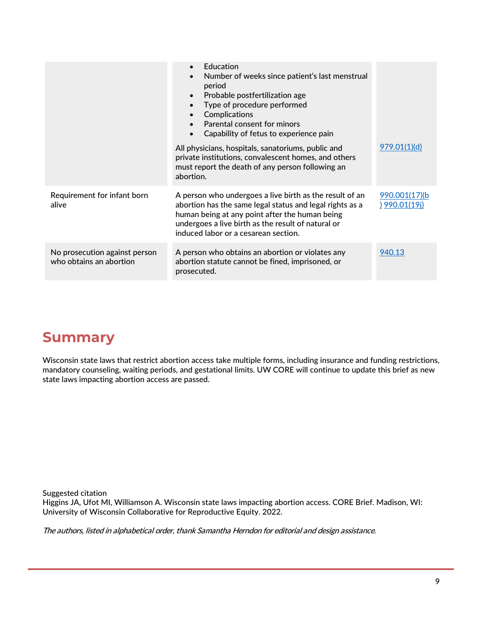|                                                          | Education<br>Number of weeks since patient's last menstrual<br>$\bullet$<br>period<br>Probable postfertilization age<br>$\bullet$<br>Type of procedure performed<br>Complications<br>$\bullet$<br>Parental consent for minors<br>Capability of fetus to experience pain<br>$\bullet$ |                                        |
|----------------------------------------------------------|--------------------------------------------------------------------------------------------------------------------------------------------------------------------------------------------------------------------------------------------------------------------------------------|----------------------------------------|
|                                                          | All physicians, hospitals, sanatoriums, public and<br>private institutions, convalescent homes, and others<br>must report the death of any person following an<br>abortion.                                                                                                          | 979.01(1)(d)                           |
| Requirement for infant born<br>alive                     | A person who undergoes a live birth as the result of an<br>abortion has the same legal status and legal rights as a<br>human being at any point after the human being<br>undergoes a live birth as the result of natural or<br>induced labor or a cesarean section.                  | 990.001(17)(b)<br><u>) 990.01(19j)</u> |
| No prosecution against person<br>who obtains an abortion | A person who obtains an abortion or violates any<br>abortion statute cannot be fined, imprisoned, or<br>prosecuted.                                                                                                                                                                  | 940.13                                 |

## **Summary**

Wisconsin state laws that restrict abortion access take multiple forms, including insurance and funding restrictions, mandatory counseling, waiting periods, and gestational limits. UW CORE will continue to update this brief as new state laws impacting abortion access are passed.

Suggested citation

Higgins JA, Ufot MI, Williamson A. Wisconsin state laws impacting abortion access. CORE Brief. Madison, WI: University of Wisconsin Collaborative for Reproductive Equity. 2022.

The authors, listed in alphabetical order, thank Samantha Herndon for editorial and design assistance.